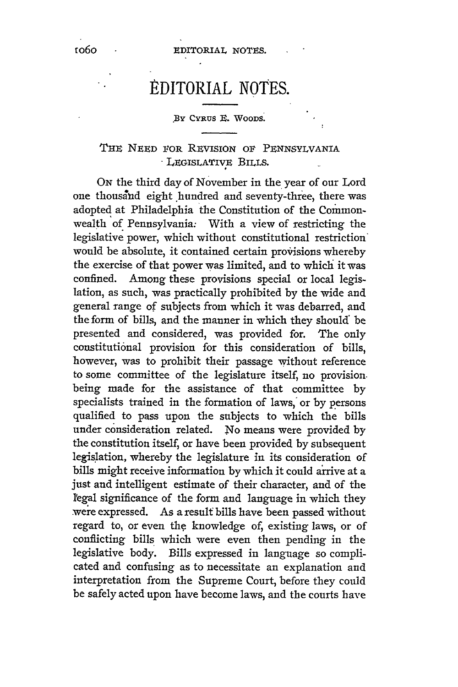# EDITORIAL **NOTES.**

### **.By CYRus** E. **WOODS.**

# THE NEED FOR REVISION OF PENNSYLVANIA LEGISLATIVE BILLS.

ON the third day of November in the year of our Lord one thousand eight hundred and seventy-three, there was adopted at Philadelphia the Constitution of the Commonwealth of Pennsylvania; With a view of restricting the legislative power, which without constitutional restriction' would be absolute, it contained certain provisions whereby the exercise of that power was limited, and to which it was confined. Among these provisions special or local legislation, as such, was practically prohibited by the wide and general range of subjects from which it was debarred, and the form of bills, and the manner in which they should be presented and considered, was provided for. The only constitutidnal provision for this consideration of bills, however, was to prohibit their passage without reference to some committee of the legislature itself, no provision being made for the assistance of that committee by specialists trained in the formation of laws,' or by persons qualified to pass upon the subjects to which the bills under consideration related. No means were provided by the constitution itself, or have been provided by subsequent legislation, whereby the legislature in its consideration of bills might receive information by which it could arrive at a just and intelligent estimate of their character, and of the legal significance of the form and language in which they were expressed. As a result bills have been passed without regard to, or even the knowledge of, existing laws, or of conflicting bills which were even then pending in the legislative body. Bills expressed in language so complicated and confusing as to necessitate an explanation and interpretation from the Supreme Court, before they could be safely acted upon have become laws, and the courts have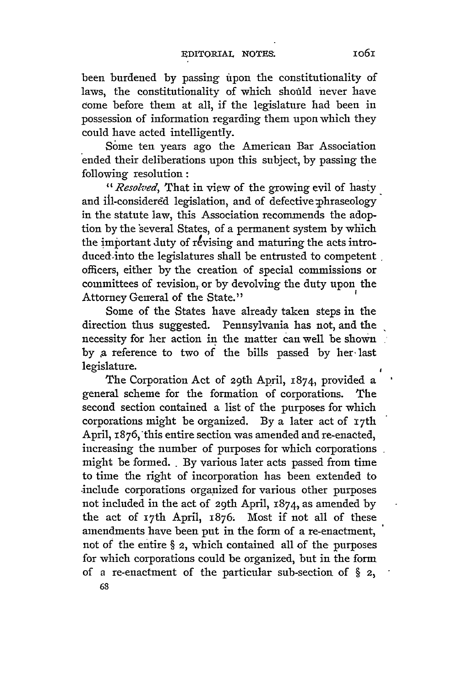been burdened by passing upon the constitutionality of laws, the constitutionality of which should never have come before them at all, if the legislature had been in possession of information regarding them upon which they could have acted intelligently.

Some ten years ago the American Bar Association ended their deliberations upon this subject, **by** passing the following resolution:

*Resolved,* That in view of the growing evil of hasty and ill-considered legislation, and of defective phraseology in the statute law, this Association recommends the adoption **by** the several States, of a permanent system **by** which the important duty of revising and maturing the acts introduced.into the legislatures shall be entrusted to competent officers, either **by** the creation of special commissions or committees of revision, or by devolving the duty upon the Attorney General of the State."

Some of the States have already taken steps in the direction thus suggested. Pennsylvania has not, and the necessity for her action in the matter can well be shown by a reference to two of the bills passed by her last legislature.

The Corporation Act of 29th April, 1874, provided a general scheme for the formation of corporations. The second section contained a list of the purposes for which corporations might be organized. By a later act of 17th April, 1876, this entire section was amended and re-enacted, increasing the number of purposes for which corporations might be formed.. By various later acts passed from time to time the right of incorporation has been extended to .include corporations organized for various other purposes not included in the act of 29th April, 1874, as amended by the act of 17th April, 1876. Most if not all of these amendments have been put in the form of a re-enactment, not of the entire § 2, which contained all of the purposes for which corporations could be organized, but in the form of a re-enactment of the particular sub-section of  $\S$  2, 68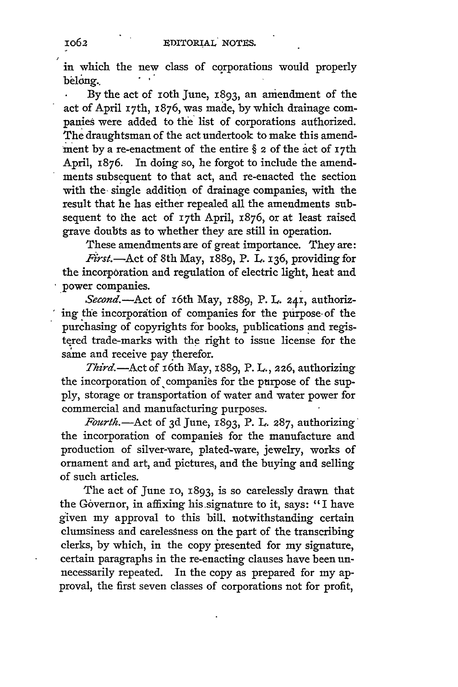in which the new class of corporations would properly belong.

**By** the act of ioth June, 1893, an amendment of the act of April 17th, 1876, was made, by which drainage companies were added to the list of corporations authorized. The draughtsman of the act undertook to make this amendment by a re-enactment of the entire § 2 of the act of 17th April, 1876. In doing so, he forgot to include the amendments subsequent to that act, and re-enacted the section with the single addition of drainage companies, with the result that he has either repealed all the amendments subsequent to the act of 17th April, 1876, or at least raised grave doubts as to whether they are still in operation.

These amendments are of great importance. They are: *First.*-Act of 8th May, 1889, P. L. 136, providing for the incorporation and regulation of electric light, heat and power companies.

*Second.-Act* of i6th May, 1889, P. L. **24i,** authorizing the incorpordtion of companies for the purpose. of the purchasing of copyrights for books, publications and registered trade-marks with the right to issue license for the same and receive pay therefor.

*Third.-Act* of 16th May, 1889, P. L., **226,** authorizing the incorporation of companies for the purpose of the supply, storage or transportation of water and water power for commercial and manufacturing purposes.

*Fourth.-Act* of 3d June, 1893, P. L. 287, authorizing the incorporation of companies for the manufacture and production of silver-ware, plated-ware, jewelry, works of ornament and art, and pictures, and the buying and selling of such articles.

The act of June io, 1893, is so carelessly drawn that the Governor, in affixing his signature to it, says: "I have given my approval to this bill. notwithstanding certain clumsiness and carelessness on the part of the transcribing clerks, **by** which, in the copy presented for my signature, certain paragraphs in the re-enacting clauses have been unnecessarily repeated. In the copy as prepared for my approval, the first seven classes of corporations not for profit,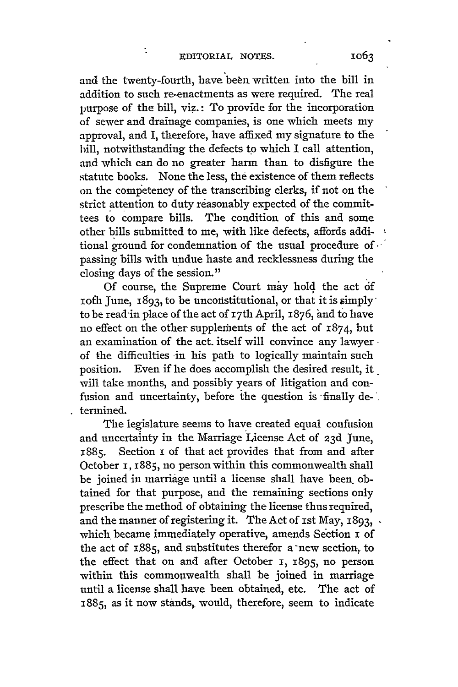and the twenty-fourth, have been written into the bill in addition to such re-enactments as were required. The real purpose of the bill, viz.: To provide for the incorporation of sewer and drainage companies, is one which meets my approval, and I, therefore, have affixed my signature to the bill, notwithstanding the defects to which I call attention, and which can do no greater harm than to disfigure the statute books. None the less, the existence of them reflects on the competency of the transcribing clerks, if not on the strict attention to duty reasonably expected of the committees to compare bills. The condition of this and some other bills submitted to me, with like defects, affords additional ground for condemnation of the usual procedure of. passing bills with undue haste and recklessness during the closing days of the session."

Of course, the Supreme Court may hold the act **of** 10th June, 1893, to be unconstitutional, or that it is simply to be read in place of the act of 17th April, 1876, and to have no effect on the other suppleihents of the act of 1874, but an examination of the act. itself will convince any lawyer  of the difficulties in his path to logically maintain such position. Even if he does accomplish the desired result, it will take months, and possibly years of litigation and confusion and uncertainty, before the question is finally determined.

The legislature seems to have created equal confusion and uncertainty in the Marriage License Act of **93 d** June, 1885. Section **i** of that act provides that from and after October I, 1885, no person within this commonwealth shall be joined in marriage until a license shall have been- obtained for that purpose, and the remaining sections only prescribe the method of obtaining the license thus required, and the manner of registering it. The Act of ist May, 1893, which became immediately operative, amends Section I of the act of  $1885$ , and substitutes therefor a new section, to the effect that on and after October **I,** 1895, no person within this commonwealth shall be joined in marriage until a license shall have been obtained, etc. The act of 1885, as it now stands, would, therefore, seem to indicate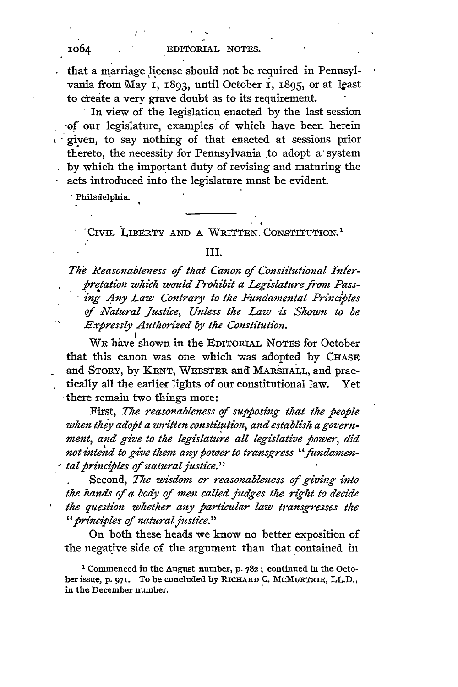that a marriage license should not be required in Pennsylvania from May 1, 1893, until October 1, 1895, or at least to create a very grave doubt as to its requirement.

In view of the legislation enacted **by** the last session -of our legislature, examples of which have been herein given, to say nothing of that enacted at sessions prior thereto, the necessity for Pennsylvania **.to** adopt **a\*** system **by** which the important duty of revising and maturing the acts introduced into the legislature must be evident.

Philadelphia.

'CIVIL LIBERTY **AND A** WRITTEN. **CONSTITUTION.'**

#### III.

*The Reasonableness of that Canon of Constitutional Inter*pretation which would Prohibit a Legislature from Pass*ing* Any *Law Contrary to the Fundamental Prindpbles of Natural Justice, Unless the Law is Shown to be Expressly Authoried by the Constitution.* **<sup>I</sup>**

WE have shown in the EDITORIAL NOTES for October that this canon was one which was adopted **by** CHAsE and STORY, by KENT, WEBSTER and MARSHALL, and practically all the earlier lights of our constitutional law. Yet there remain two things more:

First, *The reasonableness of supposing that the people when they adopht a written constitution, and establish a government, and give to the legislature all legislative )bower, did* not intend to give them any power to transgress "fundamental principles of natural justice."

Second, *The wisdom or reasonableness of giving into the hands of a body of men called judges the right to decide the question whether any barticular law transgresses the "pirinciples of natural jvstice."*

On both these heads we know no better exposition of the negative side of the argument than that contained in

**I** Commenced in the August number, p. 782; continued in the October issue, p. 971. To be concluded by RIcHARD C. MCMURTRIB, LL.D., in the December number.

io64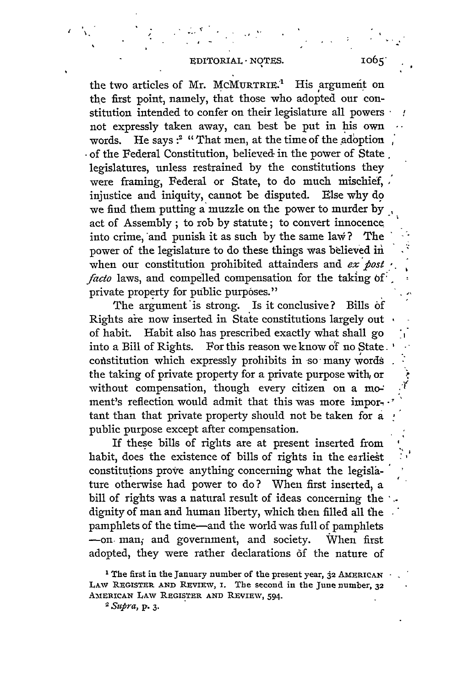the two articles of Mr. MCMURTRIE.<sup>1</sup> His argument on the first point, namely, that those who adopted our constitution intended to confer on their legislature all powers not expressly taken away, can best be put in his own words. He says:<sup>2</sup> "That men, at the time of the adoption of the Federal Constitution, believed in the power of State. legislatures, unless restrained by the constitutions they were framing, Federal or State, to do much mischief, injustice and iniquity, cannot be disputed. Else why do we find them putting a muzzle on the power to murder by act of Assembly; to rob by statute; to convert innocence into crime, and punish it as such by the same  $law?$  The power of the legislature to do these things was believed in when our constitution prohibited attainders and ex post facto laws, and compelled compensation for the taking **bf.** private property for public purp6ses."

The argument is strong. Is it conclusive? Bills of Rights aie now inserted in State constitutions largely out of habit. Habit also has prescribed exactly what shall go into a Bill of Rights. For this reason we know **of** no State. constitution which expressly prohibits in so many words the taking of private property for a private purpose witlh or without compensation, though every citizen on a mo-ment's reflection would admit that this was more important than that private property should not be taken for a public purpose except after compensation.

If these bills of rights are at present inserted from habit, does the existence of bills of rights in the earliest constitutions prove anything concerning what the legislature otherwise had power to do ? When first inserted, a bill of rights was a natural result of ideas concerning the ... dignity of man and human liberty, which then filled all the pamphlets of the time-and the world was full of pamphlets -on, man; and government, and society. When first adopted, they were rather declarations *6f* the nature of

**<sup>1</sup>**The first in the January number of the present year, **32** AmERICAN **LAw** REGISTER **AND REVIEW,** I. The second in the June number, **32 AMERICAN LAV** REGISTER **AND REVIEW,** 594.

*<sup>&</sup>quot; <sup>2</sup> Supra, p. 3.*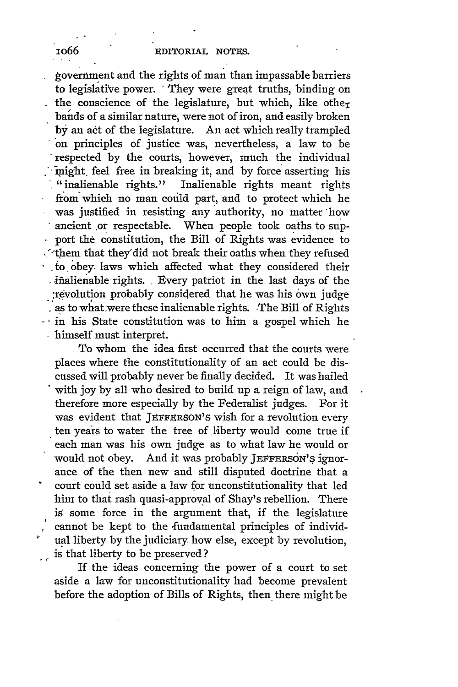government and the rights of man than impassable barriers to legislative power. **-**They were great truths, binding on the conscience of the legislature, but which, like other bands of a similar nature, were not of iron, and easily broken by an act of the legislature. An act which really trampled on principles of justice was, nevertheless, a law to be respected by the courts, however, much the individual ."ipight. feel free in breaking it, and by force asserting his "inalienable rights." Inalienable rights meant rights from which no man could part, and to protect which he was justified in resisting any authority, no matter how ancient or respectable. When people took oaths to sup-When people took oaths to support the constitution, the Bill of Rights was evidence to ('.'them that they'did not break their oaths when they refused to obey. laws which affected what they considered their ifalienable rights. . Every patriot in the last days of the :revolution probably considered that he was his own judge as to what were these inalienable rights. The Bill of Rights - in his State constitution was to him a gospel which he himself must interpret.

To whom the idea first occurred that the courts were places where the constitutionality of an act could be discussed will probably never be finally decided. It was hailed with joy by all who desired to build up a reign of law, and therefore more especially by the Federalist judges. For it was evident that JEFFERSON'S wish for a revolution every ten years to water the tree of.liberty would come true if each man was his own judge as to what law he would or would not obey. And it was probably JEFFERSON's ignorance of the then new and still disputed doctrine that a court could set aside a law for unconstitutionality that led him to that rash quasi-approval of Shay's rebellion. There is some force in the argument that, if the legislature cannot be kept to the fundamental principles of individual liberty by the judiciary. how else, except by revolution, is that liberty to be preserved?

If the ideas concerning the power of a court to set aside a law for unconstitutionality had become prevalent before the adoption of Bills of Rights, then there might be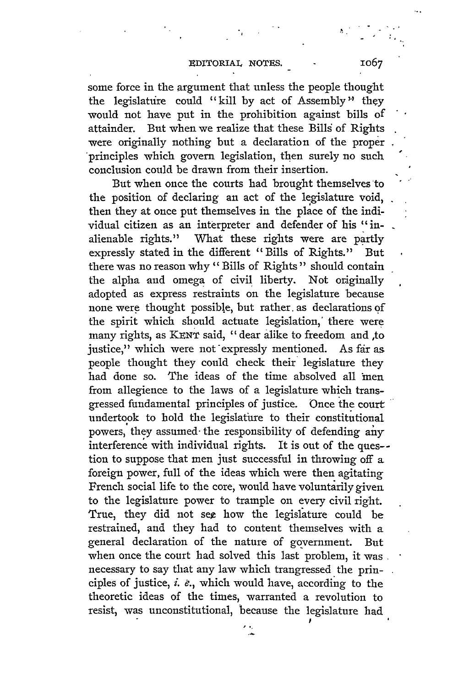#### EDITORIAL NOTES.

some force in the argument that unless the people thought the legislattire could "kill by act of Assembly *'* they would not have put in the prohibition against bills of attainder. But when we realize that these Bills of Rights were originally nothing but a declaration of the proper principles which govern legislation, then surely no such " conclusion could be drawn from their insertion.

But when once the courts had brought themselves to the position of declaring an act of the legislature void, then they at once put themselves in the place of the individual citizen as an interpreter and defender of his "inalienable rights." What these rights were are partly expressly stated in the different "Bills of Rights." But there was no reason why "Bills of Rights" should contain the alpha and omega of civil liberty. Not originally adopted as express restraints on the legislature because none were thought possible, but rather, as declarations of the spirit which should actuate legislation,' there were many rights, as KENT said, "dear alike to freedom and *,to* justice," which were not expressly mentioned. As far as people thought they could check their legislature they had done so. The ideas of the time absolved all men from allegience to the laws of a legislature which transgressed fundamental principles of justice. Once the court undertook to hold the legislatire to their constitutional powers, they assumed- the responsibility of defending *any* interference with individual rights. It is out of the ques- tion to suppose that men just successful in throwing off a foreign power, full of the ideas which were then agitating French social life to the core, would have voluntarily given to the legislature power to trample on every civil right. True, they did not seg how the legislature could be restrained, and they had to content themselves with a general declaration of the nature of government. But when once the court had solved this last problem, it was. necessary to say that any law which trangressed, the principles of justice, *i.* e., which would have, according to the theoretic ideas of the times, warranted a revolution to resist, was unconstitutional, because the legislature had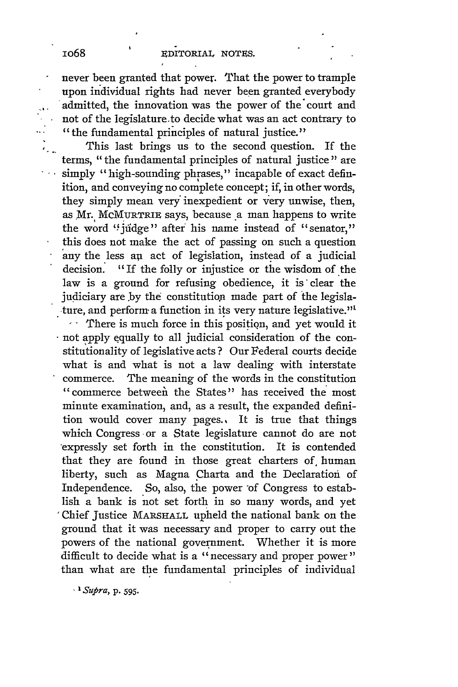## EDITORIAL **NOTES.**

never been granted that power. That the power to trample upon individual rights had never been granted everybody admitted, the innovation was the power of the court and not of the legislature.to decide what was an act contrary to "the fundamental principles of natural justice."

This last brings us to the second question. If the terms, "the fundamental principles of natural justice" are simply "high-sounding phrases," incapable of exact defin- $\sim$   $\sim$ ition, and conveying no complete concept; if, in other words, they simply mean very' inexpedient or very unwise, then, as Mr. MCMURTRIE says, because a man happens to write the word "judge" after his name instead of "senator," this does not make the act of passing on such a question any the less an act of legislation, instead of a judicial decision. "If the folly or injustice or the wisdom of the law is a ground for refusing obedience, it is'clear the judiciary are by the constitution made part of the legislature, and perform a function in its very nature legislative."' **,** *-* There is much force in this position, and yet would it

not apply equally to all judicial consideration of the constitutionality of legislative acts ? Our Federal courts decide what is and what is not a law dealing with interstate commerce. The meaning of the words in the constitution "commerce between the States" has received the most minute examination, and, as a result, the expanded definition would cover many pages., It is true that things which Congress **-or** a State legislature cannot do are not expressly set forth in the constitution. It is contended that they are found in those great charters of, human liberty, such as Magna Charta and the Declaration of Independence. So, also, the power of Congress to establish a bank is not set forth in so many words, and yet 'Chief Justice MARSHALL upheld the national bank on the ground that it was necessary and proper to carry out the powers of the national government. Whether it is more difficult to decide what is a "necessary and proper power" than what are the fundamental principles of individual

*'Supra, p. 595.*

1068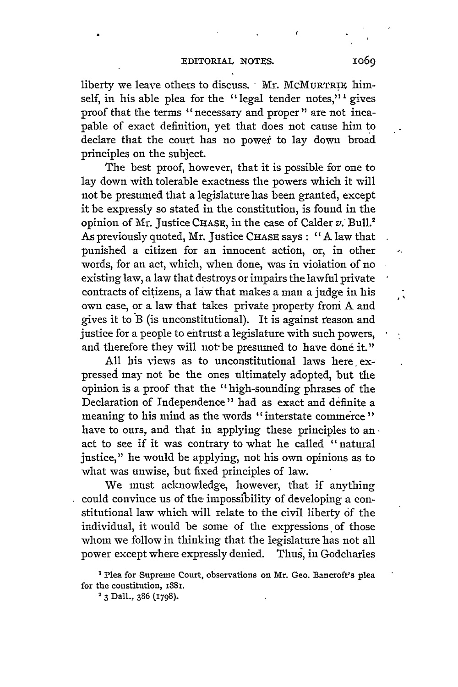liberty we leave others to discuss. Mr. **McMURTRIE** himself, in his able plea for the "legal tender notes,"<sup>1</sup> gives proof that the terms "necessary and proper" are not incapable of exact definition, yet that does not cause him to declare that the court has no power to lay down broad principles on the subject.

The best proof, however, that it is possible for one to lay down with tolerable exactness the powers which it will not be presumed that a legislature has been granted, except it be expressly so stated in the constitution, is found in the opinion of Mr. Justice CHASE, in the case of Calder  $v$ . Bull.<sup>2</sup> As previously quoted, Mr. Justice **CHASE** says : **" A** law that punished a citizen for an innocent action, or, in other words, for an act, which, when done, was in violation of no existing law, a law that destroys or impairs the lawful private contracts of citizens, a law that makes a man a judge in his own case, or a law that takes private property froni **A** and gives it to B (is unconstitutional). It is against reason and justice for a people to entrust a legislature with such powers, and therefore they will not be presumed to have done it."

All his views as to unconstitutional laws here expressed may not be the ones ultimately adopted, but the opinion is a proof that the "high-sounding phrases of the Declaration of Independence" had as exact and definite a meaning to his mind as the words "interstate commerce" have to ours, and that in applying these principles to an act to see if it was contrary to what he called "natural justice," he would be applying, not his own opinions as to what was unwise, but fixed principles of law.

We must acknowledge, however, that if anything could convince us of the impossibility of developing a constitutional law which will relate to the civil liberty of the individual, it would be some of the expressions of those whom we follow in thinking that the legislature has not all power except where expressly denied. Thus, in Godcharles

**I Plea** for Supreme Court, observations on Mr. Geo. Bancroft's plea **for** the constitution, **i881.**

**2 3** Dall., **386** (1798).

1069

ż,

 $\ddot{\cdot}$